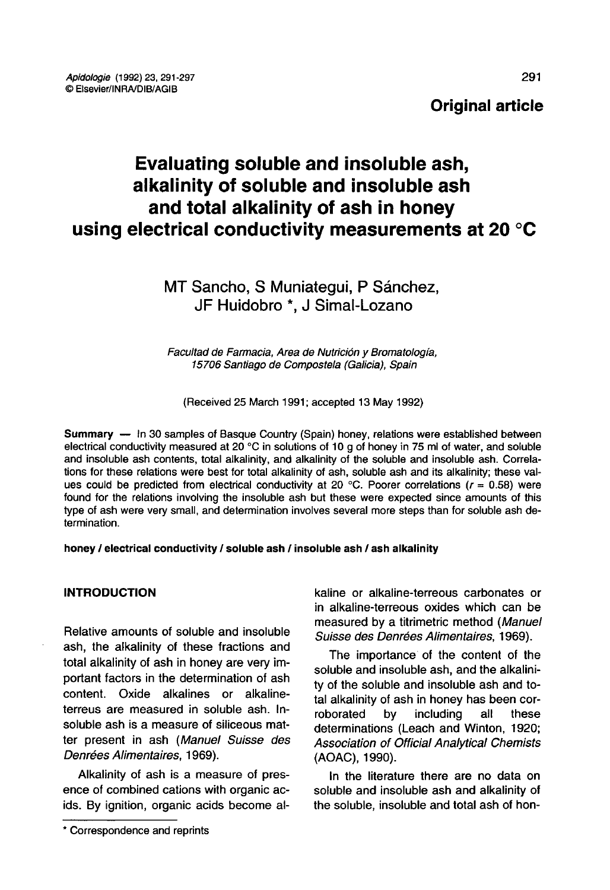## Original article

# Evaluating soluble and insoluble ash, alkalinity of soluble and insoluble ash and total alkalinity of ash in honey using electrical conductivity measurements at 20 °C

## MT Sancho, S Muniategui, P Sánchez, JF Huidobro \*, J Simal-Lozano

Facultad de Farmacia, Area de Nutrición y Bromatología, 15706 Santiago de Compostela (Galicia), Spain

(Received 25 March 1991; accepted 13 May 1992)

Summary — In 30 samples of Basque Country (Spain) honey, relations were established between electrical conductivity measured at 20 °C in solutions of 10 g of honey in 75 ml of water, and soluble and insoluble ash contents, total alkalinity, and alkalinity of the soluble and insoluble ash. Correlations for these relations were best for total alkalinity of ash, soluble ash and its alkalinity; these values could be predicted from electrical conductivity at 20 °C. Poorer correlations ( $r = 0.58$ ) were found for the relations involving the insoluble ash but these were expected since amounts of this type of ash were very small, and determination involves several more steps than for soluble ash determination.

honey / electrical conductivity / soluble ash / insoluble ash / ash alkalinity

#### INTRODUCTION

Relative amounts of soluble and insoluble ash, the alkalinity of these fractions and total alkalinity of ash in honey are very important factors in the determination of ash content. Oxide alkalines or alkalineterreus are measured in soluble ash. Insoluble ash is a measure of siliceous matter present in ash (Manuel Suisse des Denrées Alimentaires, 1969).

Alkalinity of ash is a measure of presence of combined cations with organic acids. By ignition, organic acids become alkaline or alkaline-terreous carbonates or in alkaline-terreous oxides which can be measured by a titrimetric method (Manuel Suisse des Denrées Alimentaires, 1969).

The importance of the content of the soluble and insoluble ash, and the alkalinity of the soluble and insoluble ash and total alkalinity of ash in honey has been cor-<br>roborated by including all these roborated by including all these determinations (Leach and Winton, 1920; Association of Official Analytical Chemists (AOAC), 1990).

In the literature there are no data on soluble and insoluble ash and alkalinity of the soluble, insoluble and total ash of hon-

<sup>\*</sup> Correspondence and reprints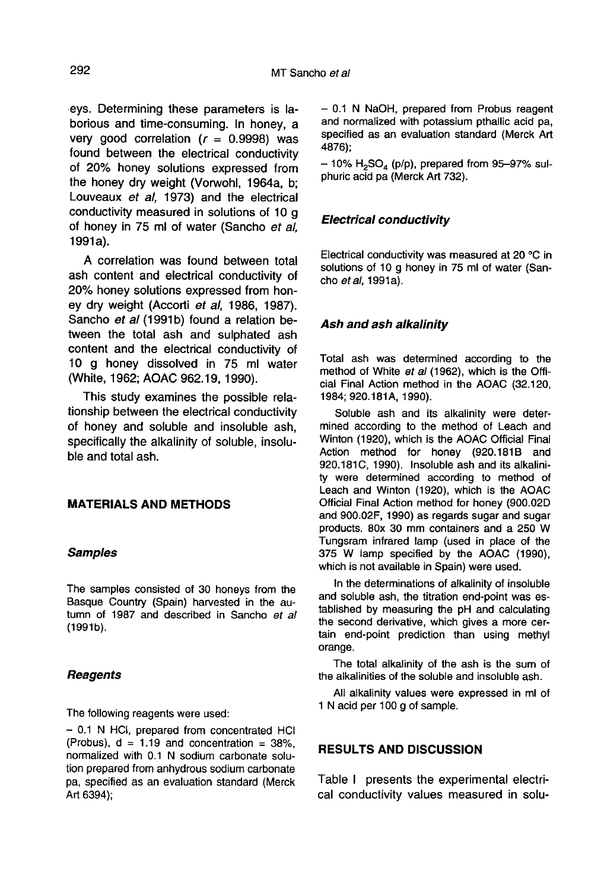eys. Determining these parameters is laborious and time-consuming. In honey, a very good correlation  $(r = 0.9998)$  was found between the electrical conductivity of 20% honey solutions expressed from the honey dry weight (Vorwohl, 1964a, b; Louveaux et al, 1973) and the electrical conductivity measured in solutions of 10 g of honey in 75 ml of water (Sancho et al,  $1991a$ ).

A correlation was found between total ash content and electrical conductivity of 20% honey solutions expressed from honey dry weight (Accorti et al, 1986, 1987). Sancho et al (1991b) found a relation between the total ash and sulphated ash content and the electrical conductivity of 10 g honey dissolved in 75 ml water (White, 1962; AOAC 962.19, 1990).

This study examines the possible relationship between the electrical conductivity of honey and soluble and insoluble ash, specifically the alkalinity of soluble, insoluble and total ash.

#### MATERIALS AND METHODS

#### Samples

The samples consisted of 30 honeys from the Basque Country (Spain) harvested in the autumn of 1987 and described in Sancho et al  $(1991b).$ 

#### **Reagents**

The following reagents were used:

- 0.1 N HCI, prepared from concentrated HCI (Probus),  $d = 1.19$  and concentration = 38%, normalized with 0.1 N sodium carbonate solution prepared from anhydrous sodium carbonate pa, specified as an evaluation standard (Merck Art 6394);

- 0.1 N NaOH, prepared from Probus reagent and normalized with potassium pthallic acid pa, specified as an evaluation standard (Merck Art 4876);

 $-$  10% H<sub>2</sub>SO<sub>4</sub> (p/p), prepared from 95-97% sulphuric acid pa (Merck Art 732).

### Electrical conductivity

Electrical conductivity was measured at 20 °C in solutions of 10 g honey in 75 ml of water (Sancho et al. 1991a).

#### Ash and ash alkalinity

Total ash was determined according to the method of White et al (1962), which is the Official Final Action method in the AOAC (32.120, 1984; 920.181A, 1990).

Soluble ash and its alkalinity were determined according to the method of Leach and Winton (1920), which is the AOAC Official Final Action method for honey (920.181B and 920.181C, 1990). Insoluble ash and its alkalinity were determined according to method of Leach and Winton (1920), which is the AOAC Official Final Action method for honey (900.02D and 900.02F, 1990) as regards sugar and sugar products. 80x 30 mm containers and a 250 W Tungsram infrared lamp (used in place of the 375 W lamp specified by the AOAC (1990), which is not available in Spain) were used.

In the determinations of alkalinity of insoluble and soluble ash, the titration end-point was established by measuring the pH and calculating the second derivative, which gives a more certain end-point prediction than using methyl orange.

The total alkalinity of the ash is the sum of the alkalinities of the soluble and insoluble ash.

All alkalinity values were expressed in ml of 1 N acid per 100 g of sample.

#### RESULTS AND DISCUSSION

Table I presents the experimental electrical conductivity values measured in solu-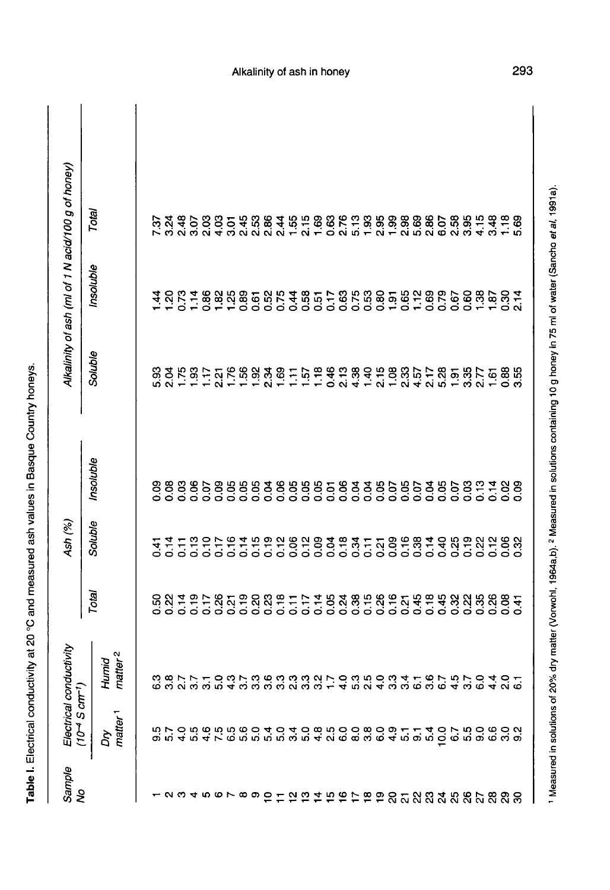| Sample<br>No                   | $10^{-4}$ S $cm^{-1}$ )<br>Electrical | conductivity                                                             |                                                                           | Ash (%)            |                                       |         |                           | Alkalinity of ash (ml of 1 N acid/100 g of honey)     |
|--------------------------------|---------------------------------------|--------------------------------------------------------------------------|---------------------------------------------------------------------------|--------------------|---------------------------------------|---------|---------------------------|-------------------------------------------------------|
|                                | matter <sup>1</sup><br>ξ              | matter <sup>2</sup><br>Humid                                             | Total                                                                     | Soluble            | Insoluble                             | Soluble | Insoluble                 | Total                                                 |
|                                |                                       |                                                                          |                                                                           |                    |                                       |         |                           |                                                       |
|                                |                                       |                                                                          | 0.50                                                                      | न<br>0.41          | 0.09                                  |         |                           | 7.37                                                  |
|                                |                                       |                                                                          |                                                                           | 0.14               | 0.08                                  |         |                           |                                                       |
|                                |                                       |                                                                          |                                                                           | $\overline{0}$ .11 |                                       |         |                           |                                                       |
|                                |                                       |                                                                          |                                                                           |                    |                                       |         |                           |                                                       |
|                                |                                       |                                                                          |                                                                           |                    |                                       |         |                           |                                                       |
|                                |                                       |                                                                          |                                                                           |                    |                                       |         |                           |                                                       |
|                                |                                       |                                                                          |                                                                           |                    |                                       |         |                           |                                                       |
| $\circ$ $\sim$ $\circ$ $\circ$ |                                       |                                                                          | $\begin{array}{c}\n 81492600 \\ 0000000 \\ 0000000 \\ \end{array}$        | endread<br>Endre   | 8868888<br>8868888                    |         | 7.5278888868887878        | ង ឌុ ៦ ខ ខ ១ ១ ឌុ ឌុ ឌុ ឌ<br>តាំង ១ ខ ១ ១ ឌុ ឌុ ឌុ ឌុ |
|                                |                                       |                                                                          |                                                                           |                    |                                       |         |                           |                                                       |
| ္                              |                                       |                                                                          |                                                                           | 0.19               | 0.04                                  |         |                           |                                                       |
|                                |                                       |                                                                          |                                                                           | 0.12               |                                       |         |                           |                                                       |
|                                |                                       |                                                                          |                                                                           | 0.06               |                                       |         |                           |                                                       |
|                                |                                       |                                                                          |                                                                           |                    |                                       |         |                           |                                                       |
|                                |                                       |                                                                          |                                                                           |                    |                                       |         |                           |                                                       |
|                                |                                       |                                                                          |                                                                           |                    |                                       |         |                           |                                                       |
|                                |                                       |                                                                          |                                                                           |                    |                                       |         |                           |                                                       |
|                                |                                       | conversion de consegue de consegue<br>conversion de consegue de consegue | $\begin{array}{c} 8997777889989974996 \\ 0000000000000000000 \end{array}$ | 2832777888         | 8888588888868589<br>99999999999999999 |         | $48575883858788568828777$ |                                                       |
|                                |                                       |                                                                          |                                                                           |                    |                                       |         |                           |                                                       |
|                                |                                       |                                                                          |                                                                           |                    |                                       |         |                           |                                                       |
|                                |                                       |                                                                          |                                                                           |                    |                                       |         |                           |                                                       |
|                                |                                       |                                                                          |                                                                           |                    |                                       |         |                           |                                                       |
|                                |                                       |                                                                          |                                                                           |                    |                                       |         |                           |                                                       |
|                                |                                       | 3.6                                                                      | 0.18                                                                      | 0.14               |                                       |         |                           | 2.86                                                  |
|                                |                                       | $\overline{6}$                                                           | 0.45                                                                      | 0.40               |                                       |         |                           | 6.07                                                  |
|                                |                                       | 4.5                                                                      | 0.32                                                                      | 0.19               |                                       |         |                           |                                                       |
|                                |                                       | 57                                                                       | 0.22                                                                      |                    |                                       |         |                           |                                                       |
|                                |                                       | 6.0                                                                      | 0.35                                                                      | 0.22               |                                       |         |                           |                                                       |
|                                | G                                     | $\frac{4}{4}$                                                            | 0.26                                                                      | $\frac{2}{10}$     | 0.14                                  |         |                           |                                                       |
|                                |                                       | ล -<br>จี - 5                                                            | 0.08                                                                      | 88<br>0.32         | 88<br>88                              |         |                           | $\frac{8}{5}$                                         |
|                                | စာ                                    |                                                                          | $\frac{1}{2}$                                                             |                    |                                       |         |                           |                                                       |
|                                |                                       |                                                                          |                                                                           |                    |                                       |         |                           |                                                       |

Alkalinity of ash in honey

293

1 Measured in solutions of 20% dry matter (Vorwohl, 1964a,b). <sup>2</sup> Measured in solutions containing 10 g honey in 75 ml of water (Sancho et al, 1991a).

Table I. Electrical conductivity at 20 °C and measured ash values in Basque Country honeys.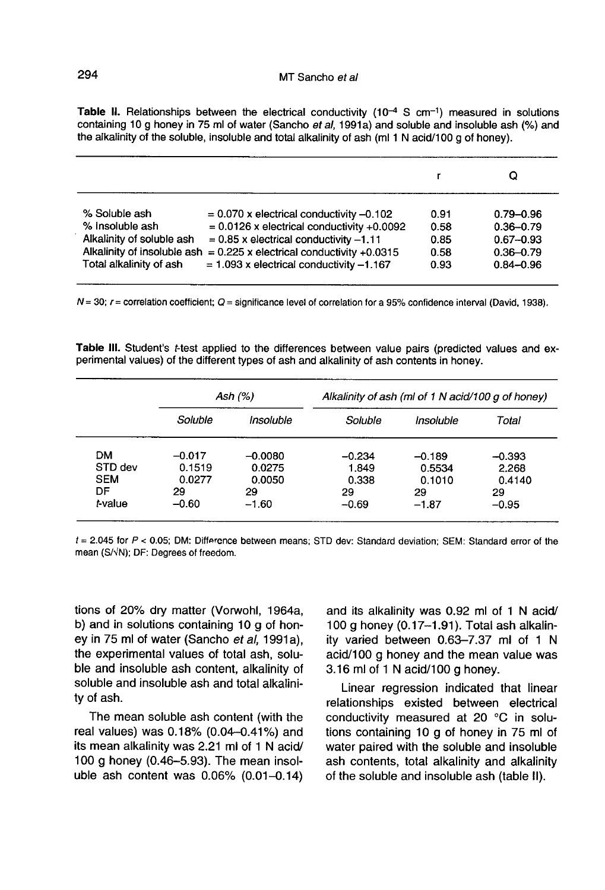Table II. Relationships between the electrical conductivity  $(10^{-4} S cm^{-1})$  measured in solutions containing 10 g honey in 75 ml of water (Sancho et al, 1991a) and soluble and insoluble ash (%) and the alkalinity of the soluble, insoluble and total alkalinity of ash (ml 1 N acid/100 g of honey).

|                                                                                          |                                                                                                                                                                                                                                                                       |                                      | O                                                                                 |
|------------------------------------------------------------------------------------------|-----------------------------------------------------------------------------------------------------------------------------------------------------------------------------------------------------------------------------------------------------------------------|--------------------------------------|-----------------------------------------------------------------------------------|
| % Soluble ash<br>% Insoluble ash<br>Alkalinity of soluble ash<br>Total alkalinity of ash | $= 0.070$ x electrical conductivity $-0.102$<br>$= 0.0126$ x electrical conductivity +0.0092<br>$= 0.85$ x electrical conductivity $-1.11$<br>Alkalinity of insoluble ash = $0.225$ x electrical conductivity +0.0315<br>$= 1.093$ x electrical conductivity $-1.167$ | 0.91<br>0.58<br>0.85<br>0.58<br>0.93 | $0.79 - 0.96$<br>$0.36 - 0.79$<br>$0.67 - 0.93$<br>$0.36 - 0.79$<br>$0.84 - 0.96$ |

 $N = 30$ ;  $r =$  correlation coefficient;  $Q =$  significance level of correlation for a 95% confidence interval (David, 1938).

Table III. Student's *t*-test applied to the differences between value pairs (predicted values and experimental values) of the different types of ash and alkalinity of ash contents in honey.

|            | Ash $(%)$ |           | Alkalinity of ash (ml of 1 N acid/100 g of honey) |           |          |  |
|------------|-----------|-----------|---------------------------------------------------|-----------|----------|--|
|            | Soluble   | Insoluble | Soluble                                           | Insoluble | Total    |  |
| DМ         | $-0.017$  | $-0.0080$ | $-0.234$                                          | $-0.189$  | $-0.393$ |  |
| STD dev    | 0.1519    | 0.0275    | 1.849                                             | 0.5534    | 2.268    |  |
| <b>SEM</b> | 0.0277    | 0.0050    | 0.338                                             | 0.1010    | 0.4140   |  |
| DF         | 29        | 29        | 29                                                | 29        | 29       |  |
| t-value    | $-0.60$   | $-1.60$   | $-0.69$                                           | $-1.87$   | $-0.95$  |  |

 $t = 2.045$  for  $P < 0.05$ ; DM: Difference between means; STD dev: Standard deviation; SEM: Standard error of the mean (S/VN); DF: Degrees of freedom.

tions of 20% dry matter (Vorwohl, 1964a, b) and in solutions containing 10 g of honey in 75 ml of water (Sancho et al, 1991a), the experimental values of total ash, soluble and insoluble ash content, alkalinity of soluble and insoluble ash and total alkalinity of ash.

The mean soluble ash content (with the real values) was 0.18% (0.04-0.41%) and its mean alkalinity was 2.21 ml of 1 N acid/ 100 g honey (0.46-5.93). The mean insoluble ash content was 0.06% (0.01-0.14) and its alkalinity was 0.92 ml of 1 N acid/ 100 g honey (0.17-1.91). Total ash alkalinity varied between 0.63-7.37 ml of 1 N acid/100 g honey and the mean value was 3.16 ml of 1 N acid/100 g honey.

Linear regression indicated that linear relationships existed between electrical conductivity measured at 20 °C in solutions containing 10 g of honey in 75 ml of water paired with the soluble and insoluble ash contents, total alkalinity and alkalinity of the soluble and insoluble ash (table II).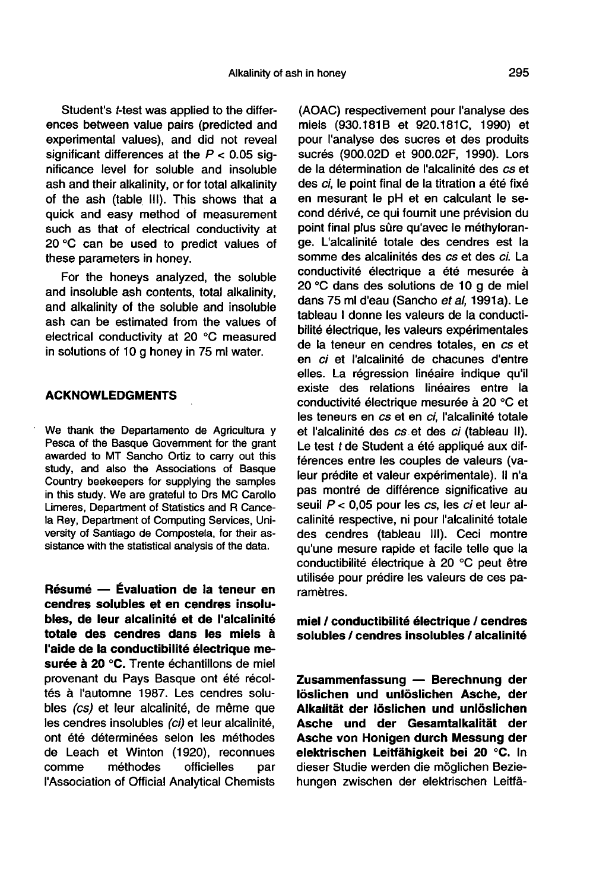Student's t-test was applied to the differences between value pairs (predicted and experimental values), and did not reveal significant differences at the  $P < 0.05$  significance level for soluble and insoluble ash and their alkalinity, or for total alkalinity of the ash (table III). This shows that a quick and easy method of measurement such as that of electrical conductivity at 20 °C can be used to predict values of these parameters in honey.

For the honeys analyzed, the soluble and insoluble ash contents, total alkalinity, and alkalinity of the soluble and insoluble ash can be estimated from the values of electrical conductivity at 20 °C measured in solutions of 10 g honey in 75 ml water.

#### ACKNOWLEDGMENTS

We thank the Departamento de Agricultura y Pesca of the Basque Govemment for the grant awarded to MT Sancho Ortiz to carry out this study, and also the Associations of Basque Country beekeepers for supplying the samples in this study. We are grateful to Drs MC Carollo Limeres, Department of Statistics and R Cancela Rey, Department of Computing Services, University of Santiago de Compostela, for their assistance with the statistical analysis of the data.

Résumé — Évaluation de la teneur en cendres solubles et en cendres insolubles, de leur alcalinité et de l'alcalinité totale des cendres dans les miels à l'aide de la conductibilité électrique mesurée à 20 °C. Trente échantillons de miel provenant du Pays Basque ont été récoltés à l'automne 1987. Les cendres solubles (cs) et leur alcalinité, de même que les cendres insolubles (ci) et leur alcalinité, ont été déterminées selon les méthodes de Leach et Winton (1920), reconnues<br>comme méthodes officielles par méthodes officielles par l'Association of Official Analytical Chemists

(AOAC) respectivement pour l'analyse des miels (930.181B et 920.181C, 1990) et pour l'analyse des sucres et des produits sucrés (900.02D et 900.02F, 1990). Lors de la détermination de l'alcalinité des cs et des ci, le point final de la titration a été fixé en mesurant le pH et en calculant le second dérivé, ce qui fournit une prévision du point final plus sûre qu'avec le méthylorange. L'alcalinité totale des cendres est la somme des alcalinités des cs et des ci. La conductivité électrique a été mesurée à 20 °C dans des solutions de 10 g de miel dans 75 ml d'eau (Sancho et al. 1991a). Le tableau I donne les valeurs de la conductibilité électrique, les valeurs expérimentales de la teneur en cendres totales, en cs et en ci et l'alcalinité de chacunes d'entre elles. La régression linéaire indique qu'il existe des relations linéaires entre la conductivité électrique mesurée à 20 °C et les teneurs en cs et en ci, l'alcalinité totale et l'alcalinité des cs et des ci (tableau II). Le test t de Student a été appliqué aux différences entre les couples de valeurs (valeur prédite et valeur expérimentale). Il n'a pas montré de différence significative au seuil  $P < 0.05$  pour les  $cs$ , les  $ci$  et leur alcalinité respective, ni pour l'alcalinité totale des cendres (tableau III). Ceci montre qu'une mesure rapide et facile telle que la conductibilité électrique à 20 °C peut être utilisée pour prédire les valeurs de ces paramètres.

miel / conductibilité électrique / cendres solubles / cendres insolubles / alcalinité

Zusammenfassung — Berechnung der löslichen und unlöslichen Asche, der Alkalität der löslichen und unlöslichen Asche und der Gesamtalkalität der Asche von Honigen durch Messung der elektrischen Leitfähigkeit bei 20 °C. In dieser Studie werden die möglichen Beziehungen zwischen der elektrischen Leitfä-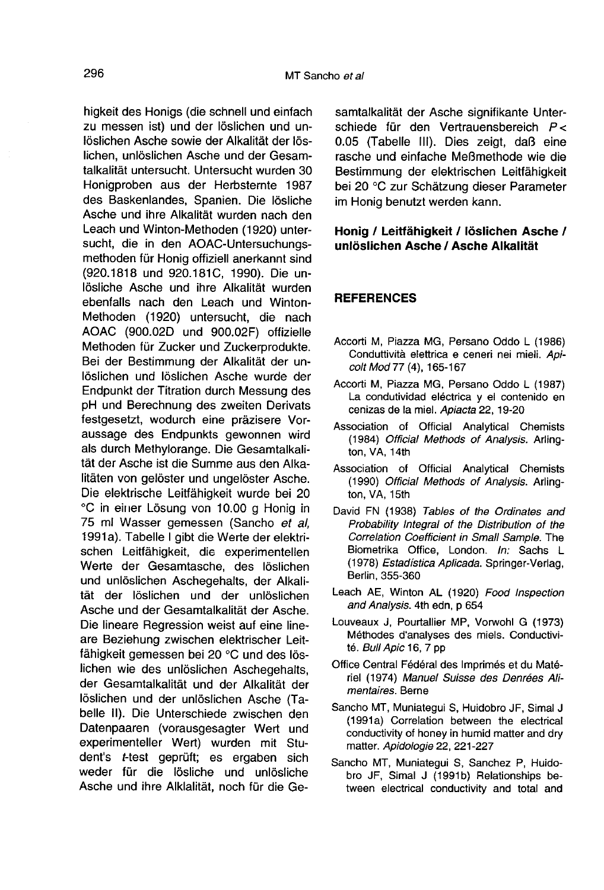higkeit des Honigs (die schnell und einfach zu messen ist) und der löslichen und unlöslichen Asche sowie der Alkalität der löslichen, unlöslichen Asche und der Gesamtalkalität untersucht. Untersucht wurden 30 Honigproben aus der Herbsternte 1987 des Baskenlandes, Spanien. Die lösliche Asche und ihre Alkalität wurden nach den Leach und Winton-Methoden (1920) untersucht, die in den AOAC-Untersuchungsmethoden für Honig offiziell anerkannt sind (920.1818 und 920.181C, 1990). Die unlösliche Asche und ihre Alkalität wurden ebenfalls nach den Leach und Winton-Methoden (1920) untersucht, die nach AOAC (900.02D und 900.02F) offizielle Methoden für Zucker und Zuckerprodukte. Bei der Bestimmung der Alkalität der unlöslichen und löslichen Asche wurde der Endpunkt der Titration durch Messung des pH und Berechnung des zweiten Derivats festgesetzt, wodurch eine präzisere Voraussage des Endpunkts gewonnen wird als durch Methylorange. Die Gesamtalkalität der Asche ist die Summe aus den Alkalitäten von gelöster und ungelöster Asche. Die elektrische Leitfähigkeit wurde bei 20 °C in einer Lösung von 10.00 g Honig in 75 ml Wasser gemessen (Sancho et al, 1991a). Tabelle I gibt die Werte der elektrischen Leitfähigkeit, die experimentellen Werte der Gesamtasche, des löslichen und unlöslichen Aschegehalts, der Alkalität der löslichen und der unlöslichen Asche und der Gesamtalkalität der Asche. Die lineare Regression weist auf eine lineare Beziehung zwischen elektrischer Leitfähigkeit gemessen bei 20 °C und des löslichen wie des unlöslichen Aschegehalts, der Gesamtalkalität und der Alkalität der löslichen und der unlöslichen Asche (Tabelle II). Die Unterschiede zwischen den Datenpaaren (vorausgesagter Wert und experimenteller Wert) wurden mit Student's t-test geprüft; es ergaben sich weder für die lösliche und unlösliche Asche und ihre Alklalität, noch für die Ge-

samtalkalität der Asche signifikante Unterschiede für den Vertrauensbereich P< 0.05 (Tabelle III). Dies zeigt, daß eine rasche und einfache Meßmethode wie die Bestimmung der elektrischen Leitfähigkeit bei 20 °C zur Schätzung dieser Parameter im Honig benutzt werden kann.

#### Honig / Leitfähigkeit / löslichen Asche / unlöslichen Asche / Asche Alkalität

#### **REFERENCES**

- Accorti M, Piazza MG, Persano Oddo L (1986) Conduttività elettrica e ceneri nei mieli. Apicolt Mod 77 (4), 165-167
- Accorti M, Piazza MG, Persano Oddo L (1987) La condutividad eléctrica y el contenido en cenizas de la miel. Apiacta 22, 19-20
- Association of Official Analytical Chemists (1984) Official Methods of Analysis. Arlington, VA, 14th
- Association of Official Analytical Chemists (1990) Official Methods of Analysis. Arlington, VA, 15th
- David FN (1938) Tables of the Ordinates and Probability Integral of the Distribution of the Correlation Coefficient in Small Sample. The Biometrika Office, London. In: Sachs L (1978) Estadistica Aplicada. Springer-Verlag, Berlin, 355-360
- Leach AE, Winton AL (1920) Food Inspection and Analysis. 4th edn, p 654
- Louveaux J, Pourtallier MP, Vorwohl G (1973) Méthodes d'analyses des miels. Conductivité. Bull Apic 16, 7 pp
- Office Central Fédéral des Imprimés et du Matériel (1974) Manuel Suisse des Denrées Alimentaires. Berne
- Sancho MT, Muniategui S, Huidobro JF, Simal J (1991a) Correlation between the electrical conductivity of honey in humid matter and dry matter. Apidologie 22, 221-227
- Sancho MT, Muniategui S, Sanchez P, Huidobro JF, Simal J (1991b) Relationships between electrical conductivity and total and